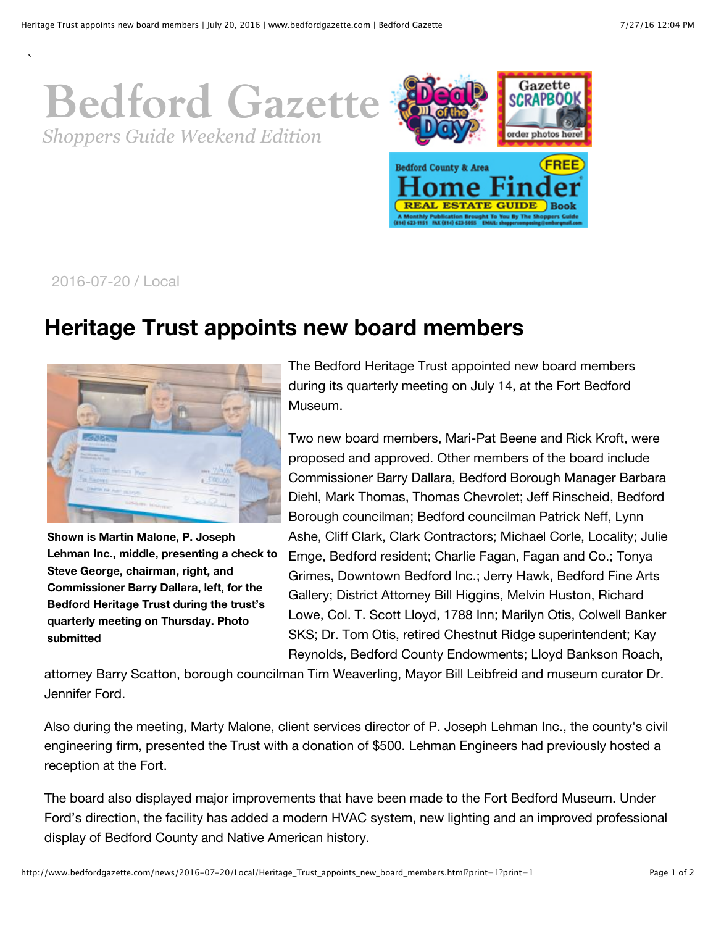## **[Bedford Gazette](http://www.bedfordgazette.com/) Bedford Gazette** *Shoppers Guide Weekend Edition*



2016-07-20 / Local

`

## **Heritage Trust appoints new board members**



**Shown is Martin Malone, P. Joseph Lehman Inc., middle, presenting a check to Steve George, chairman, right, and Commissioner Barry Dallara, left, for the Bedford Heritage Trust during the trust's quarterly meeting on Thursday. Photo submitted**

The Bedford Heritage Trust appointed new board members during its quarterly meeting on July 14, at the Fort Bedford Museum.

Two new board members, Mari-Pat Beene and Rick Kroft, were proposed and approved. Other members of the board include Commissioner Barry Dallara, Bedford Borough Manager Barbara Diehl, Mark Thomas, Thomas Chevrolet; Jeff Rinscheid, Bedford Borough councilman; Bedford councilman Patrick Neff, Lynn Ashe, Cliff Clark, Clark Contractors; Michael Corle, Locality; Julie Emge, Bedford resident; Charlie Fagan, Fagan and Co.; Tonya Grimes, Downtown Bedford Inc.; Jerry Hawk, Bedford Fine Arts Gallery; District Attorney Bill Higgins, Melvin Huston, Richard Lowe, Col. T. Scott Lloyd, 1788 Inn; Marilyn Otis, Colwell Banker SKS; Dr. Tom Otis, retired Chestnut Ridge superintendent; Kay Reynolds, Bedford County Endowments; Lloyd Bankson Roach,

attorney Barry Scatton, borough councilman Tim Weaverling, Mayor Bill Leibfreid and museum curator Dr. Jennifer Ford.

Also during the meeting, Marty Malone, client services director of P. Joseph Lehman Inc., the county's civil engineering firm, presented the Trust with a donation of \$500. Lehman Engineers had previously hosted a reception at the Fort.

The board also displayed major improvements that have been made to the Fort Bedford Museum. Under Ford's direction, the facility has added a modern HVAC system, new lighting and an improved professional display of Bedford County and Native American history.